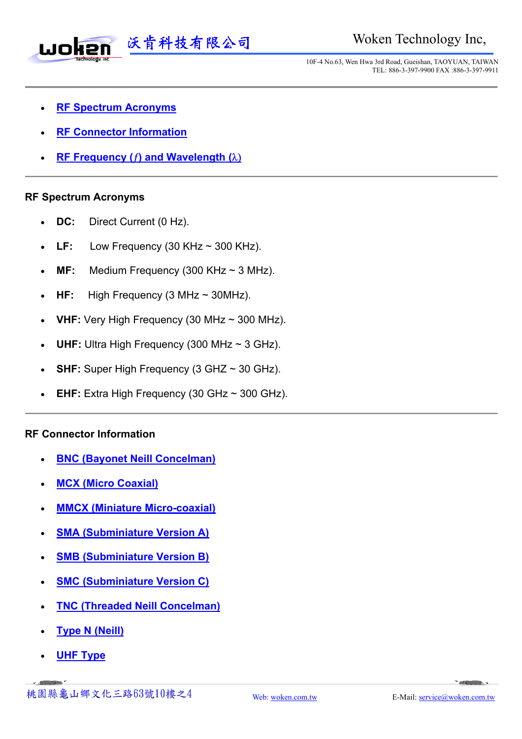

10F-4 No.63, Wen Hwa 3rd Road, Gueishan, TAOYUAN, TAIWAN TEL: 886-3-397-9900 FAX :886-3-397-9911

- **RF Spectrum Acronyms**
- **RF Connector Information**
- **RF Frequency (**ƒ**) and Wavelength (**λ)

#### **RF Spectrum Acronyms**

- **DC:** Direct Current (0 Hz).
- **LF:** Low Frequency (30 KHz  $\sim$  300 KHz).
- **MF:** Medium Frequency (300 KHz ~ 3 MHz).
- **HF:** High Frequency (3 MHz ~ 30MHz).
- **VHF:** Very High Frequency (30 MHz ~ 300 MHz).
- **UHF:** Ultra High Frequency (300 MHz  $\sim$  3 GHz).
- **SHF:** Super High Frequency (3 GHZ ~ 30 GHz).
- **EHF:** Extra High Frequency (30 GHz  $\sim$  300 GHz).

#### **RF Connector Information**

- **BNC (Bayonet Neill Concelman)**
- **MCX (Micro Coaxial)**
- **MMCX (Miniature Micro-coaxial)**
- **SMA (Subminiature Version A)**
- **SMB (Subminiature Version B)**
- **SMC (Subminiature Version C)**
- **TNC (Threaded Neill Concelman)**
- **Type N (Neill)**
- **UHF Type**

 $\sim$  -states  $\sim$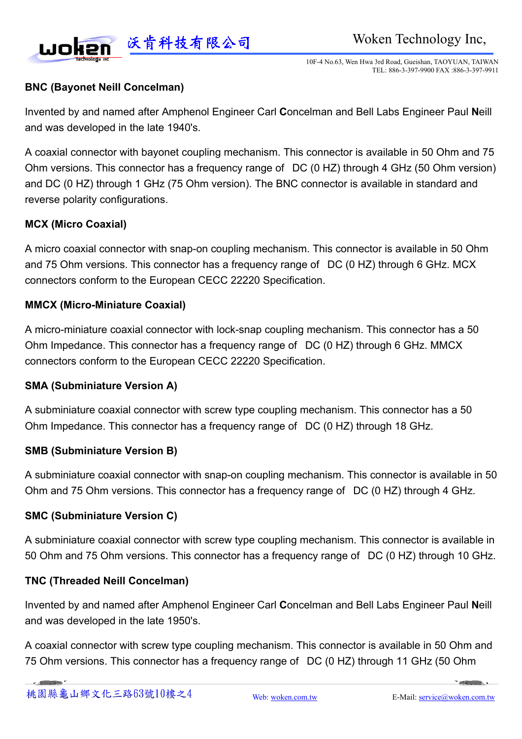

10F-4 No.63, Wen Hwa 3rd Road, Gueishan, TAOYUAN, TAIWAN TEL: 886-3-397-9900 FAX :886-3-397-9911

### **BNC (Bayonet Neill Concelman)**

Invented by and named after Amphenol Engineer Carl **C**oncelman and Bell Labs Engineer Paul **N**eill and was developed in the late 1940's.

A coaxial connector with bayonet coupling mechanism. This connector is available in 50 Ohm and 75 Ohm versions. This connector has a frequency range of DC (0 HZ) through 4 GHz (50 Ohm version) and DC (0 HZ) through 1 GHz (75 Ohm version). The BNC connector is available in standard and reverse polarity configurations.

#### **MCX (Micro Coaxial)**

A micro coaxial connector with snap-on coupling mechanism. This connector is available in 50 Ohm and 75 Ohm versions. This connector has a frequency range of DC (0 HZ) through 6 GHz. MCX connectors conform to the European CECC 22220 Specification.

#### **MMCX (Micro-Miniature Coaxial)**

A micro-miniature coaxial connector with lock-snap coupling mechanism. This connector has a 50 Ohm Impedance. This connector has a frequency range of DC (0 HZ) through 6 GHz. MMCX connectors conform to the European CECC 22220 Specification.

#### **SMA (Subminiature Version A)**

A subminiature coaxial connector with screw type coupling mechanism. This connector has a 50 Ohm Impedance. This connector has a frequency range of DC (0 HZ) through 18 GHz.

#### **SMB (Subminiature Version B)**

A subminiature coaxial connector with snap-on coupling mechanism. This connector is available in 50 Ohm and 75 Ohm versions. This connector has a frequency range of DC (0 HZ) through 4 GHz.

#### **SMC (Subminiature Version C)**

A subminiature coaxial connector with screw type coupling mechanism. This connector is available in 50 Ohm and 75 Ohm versions. This connector has a frequency range of DC (0 HZ) through 10 GHz.

#### **TNC (Threaded Neill Concelman)**

Invented by and named after Amphenol Engineer Carl **C**oncelman and Bell Labs Engineer Paul **N**eill and was developed in the late 1950's.

A coaxial connector with screw type coupling mechanism. This connector is available in 50 Ohm and 75 Ohm versions. This connector has a frequency range of DC (0 HZ) through 11 GHz (50 Ohm

*Commercial*